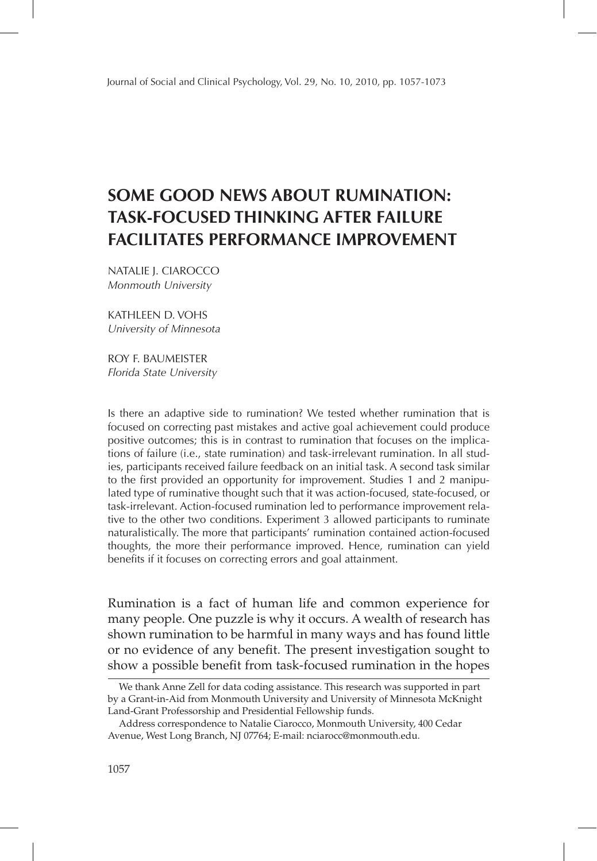# **SOME GOOD NEWS ABOUT RUMINATION: TASK-FOCUSED THINKING AFTER FAILURE FACILITATES PERFORMANCE IMPROVEMENT**

NATALIE J. CIAROCCO *Monmouth University*

KATHLEEN D. VOHS *University of Minnesota*

ROY F. BAUMEISTER *Florida State University*

Is there an adaptive side to rumination? We tested whether rumination that is focused on correcting past mistakes and active goal achievement could produce positive outcomes; this is in contrast to rumination that focuses on the implications of failure (i.e., state rumination) and task-irrelevant rumination. In all studies, participants received failure feedback on an initial task. A second task similar to the first provided an opportunity for improvement. Studies 1 and 2 manipulated type of ruminative thought such that it was action-focused, state-focused, or task-irrelevant. Action-focused rumination led to performance improvement relative to the other two conditions. Experiment 3 allowed participants to ruminate naturalistically. The more that participants' rumination contained action-focused thoughts, the more their performance improved. Hence, rumination can yield benefits if it focuses on correcting errors and goal attainment.

Rumination is a fact of human life and common experience for many people. One puzzle is why it occurs. A wealth of research has shown rumination to be harmful in many ways and has found little or no evidence of any benefit. The present investigation sought to show a possible benefit from task-focused rumination in the hopes

We thank Anne Zell for data coding assistance. This research was supported in part by a Grant-in-Aid from Monmouth University and University of Minnesota McKnight Land-Grant Professorship and Presidential Fellowship funds.

Address correspondence to Natalie Ciarocco, Monmouth University, 400 Cedar Avenue, West Long Branch, NJ 07764; E-mail: nciarocc@monmouth.edu.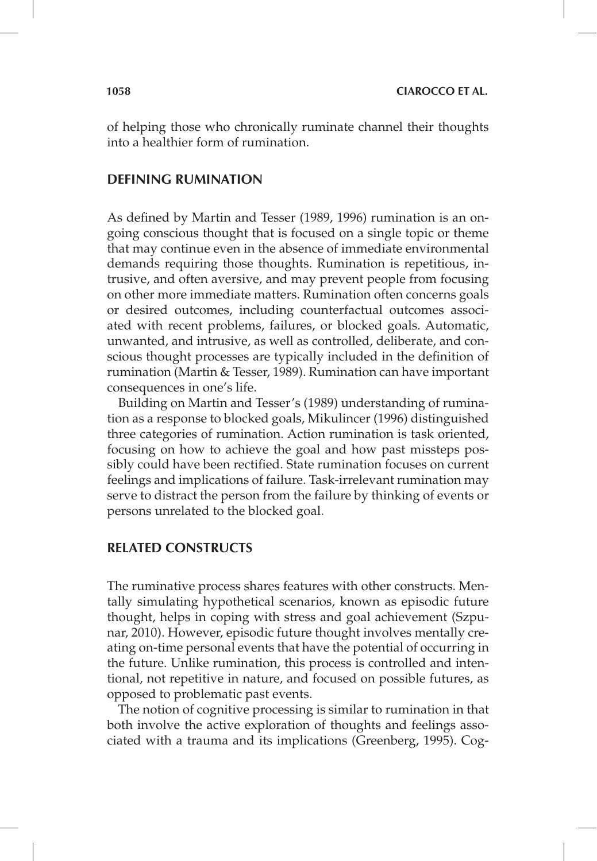of helping those who chronically ruminate channel their thoughts into a healthier form of rumination.

## **DEFINING RUMINATION**

As defined by Martin and Tesser (1989, 1996) rumination is an ongoing conscious thought that is focused on a single topic or theme that may continue even in the absence of immediate environmental demands requiring those thoughts. Rumination is repetitious, intrusive, and often aversive, and may prevent people from focusing on other more immediate matters. Rumination often concerns goals or desired outcomes, including counterfactual outcomes associated with recent problems, failures, or blocked goals. Automatic, unwanted, and intrusive, as well as controlled, deliberate, and conscious thought processes are typically included in the definition of rumination (Martin & Tesser, 1989). Rumination can have important consequences in one's life.

Building on Martin and Tesser's (1989) understanding of rumination as a response to blocked goals, Mikulincer (1996) distinguished three categories of rumination. Action rumination is task oriented, focusing on how to achieve the goal and how past missteps possibly could have been rectified. State rumination focuses on current feelings and implications of failure. Task-irrelevant rumination may serve to distract the person from the failure by thinking of events or persons unrelated to the blocked goal.

## **RELATED CONSTRUCTS**

The ruminative process shares features with other constructs. Mentally simulating hypothetical scenarios, known as episodic future thought, helps in coping with stress and goal achievement (Szpunar, 2010). However, episodic future thought involves mentally creating on-time personal events that have the potential of occurring in the future. Unlike rumination, this process is controlled and intentional, not repetitive in nature, and focused on possible futures, as opposed to problematic past events.

The notion of cognitive processing is similar to rumination in that both involve the active exploration of thoughts and feelings associated with a trauma and its implications (Greenberg, 1995). Cog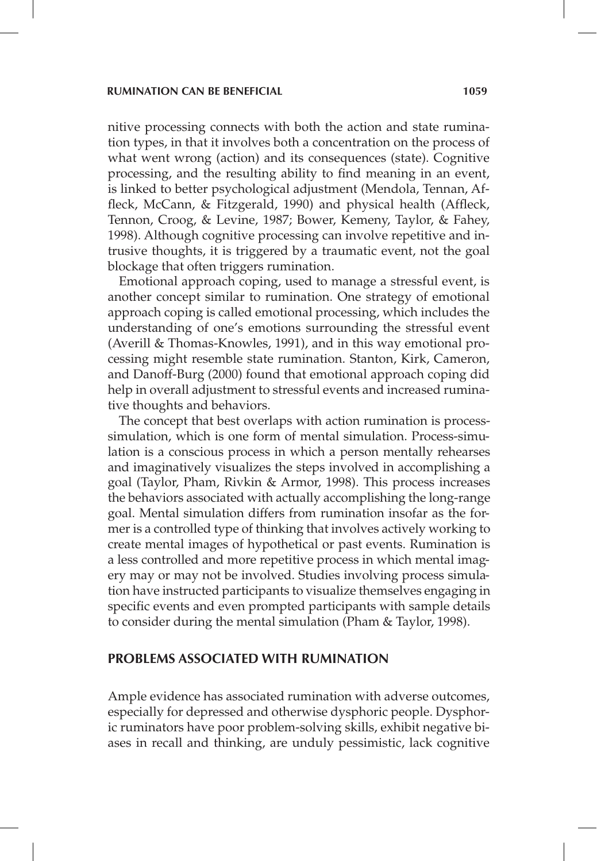nitive processing connects with both the action and state rumination types, in that it involves both a concentration on the process of what went wrong (action) and its consequences (state). Cognitive processing, and the resulting ability to find meaning in an event, is linked to better psychological adjustment (Mendola, Tennan, Affleck, McCann, & Fitzgerald, 1990) and physical health (Affleck, Tennon, Croog, & Levine, 1987; Bower, Kemeny, Taylor, & Fahey, 1998). Although cognitive processing can involve repetitive and intrusive thoughts, it is triggered by a traumatic event, not the goal blockage that often triggers rumination.

Emotional approach coping, used to manage a stressful event, is another concept similar to rumination. One strategy of emotional approach coping is called emotional processing, which includes the understanding of one's emotions surrounding the stressful event (Averill & Thomas-Knowles, 1991), and in this way emotional processing might resemble state rumination. Stanton, Kirk, Cameron, and Danoff-Burg (2000) found that emotional approach coping did help in overall adjustment to stressful events and increased ruminative thoughts and behaviors.

The concept that best overlaps with action rumination is processsimulation, which is one form of mental simulation. Process-simulation is a conscious process in which a person mentally rehearses and imaginatively visualizes the steps involved in accomplishing a goal (Taylor, Pham, Rivkin & Armor, 1998). This process increases the behaviors associated with actually accomplishing the long-range goal. Mental simulation differs from rumination insofar as the former is a controlled type of thinking that involves actively working to create mental images of hypothetical or past events. Rumination is a less controlled and more repetitive process in which mental imagery may or may not be involved. Studies involving process simulation have instructed participants to visualize themselves engaging in specific events and even prompted participants with sample details to consider during the mental simulation (Pham & Taylor, 1998).

## **PROBLEMS ASSOCIATED WITH RUMINATION**

Ample evidence has associated rumination with adverse outcomes, especially for depressed and otherwise dysphoric people. Dysphoric ruminators have poor problem-solving skills, exhibit negative biases in recall and thinking, are unduly pessimistic, lack cognitive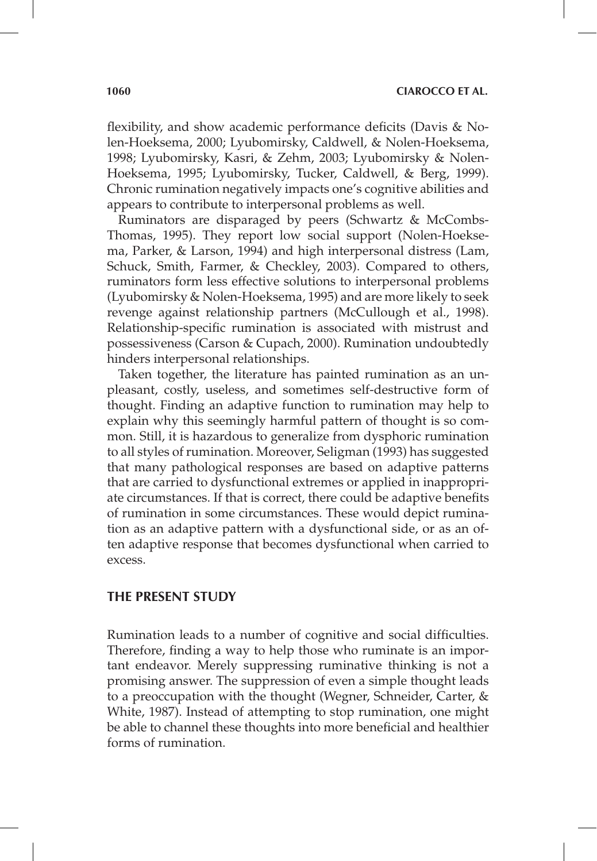flexibility, and show academic performance deficits (Davis & Nolen-Hoeksema, 2000; Lyubomirsky, Caldwell, & Nolen-Hoeksema, 1998; Lyubomirsky, Kasri, & Zehm, 2003; Lyubomirsky & Nolen-Hoeksema, 1995; Lyubomirsky, Tucker, Caldwell, & Berg, 1999). Chronic rumination negatively impacts one's cognitive abilities and appears to contribute to interpersonal problems as well.

Ruminators are disparaged by peers (Schwartz & McCombs-Thomas, 1995). They report low social support (Nolen-Hoeksema, Parker, & Larson, 1994) and high interpersonal distress (Lam, Schuck, Smith, Farmer, & Checkley, 2003). Compared to others, ruminators form less effective solutions to interpersonal problems (Lyubomirsky & Nolen-Hoeksema, 1995) and are more likely to seek revenge against relationship partners (McCullough et al., 1998). Relationship-specific rumination is associated with mistrust and possessiveness (Carson & Cupach, 2000). Rumination undoubtedly hinders interpersonal relationships.

Taken together, the literature has painted rumination as an unpleasant, costly, useless, and sometimes self-destructive form of thought. Finding an adaptive function to rumination may help to explain why this seemingly harmful pattern of thought is so common. Still, it is hazardous to generalize from dysphoric rumination to all styles of rumination. Moreover, Seligman (1993) has suggested that many pathological responses are based on adaptive patterns that are carried to dysfunctional extremes or applied in inappropriate circumstances. If that is correct, there could be adaptive benefits of rumination in some circumstances. These would depict rumination as an adaptive pattern with a dysfunctional side, or as an often adaptive response that becomes dysfunctional when carried to excess.

## **THE PRESENT STUDY**

Rumination leads to a number of cognitive and social difficulties. Therefore, finding a way to help those who ruminate is an important endeavor. Merely suppressing ruminative thinking is not a promising answer. The suppression of even a simple thought leads to a preoccupation with the thought (Wegner, Schneider, Carter, & White, 1987). Instead of attempting to stop rumination, one might be able to channel these thoughts into more beneficial and healthier forms of rumination.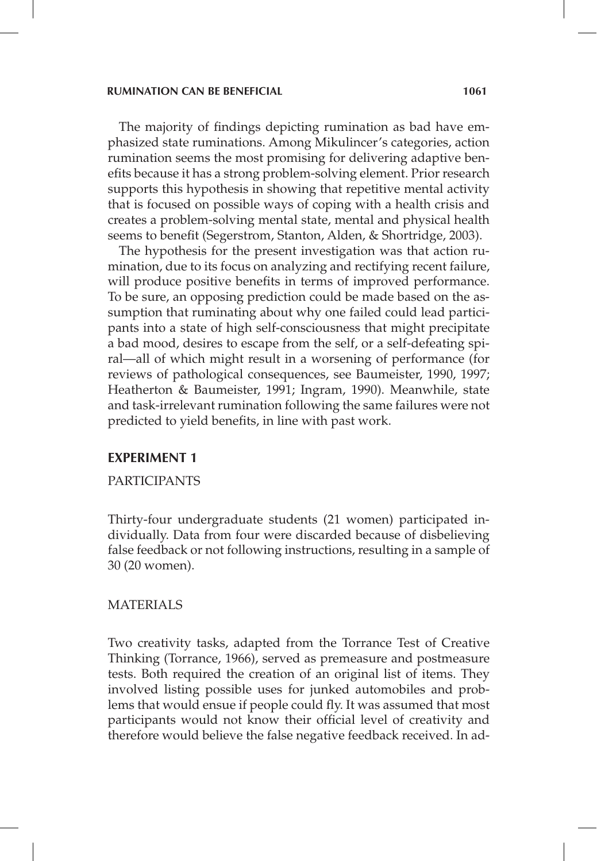The majority of findings depicting rumination as bad have emphasized state ruminations. Among Mikulincer's categories, action rumination seems the most promising for delivering adaptive benefits because it has a strong problem-solving element. Prior research supports this hypothesis in showing that repetitive mental activity that is focused on possible ways of coping with a health crisis and creates a problem-solving mental state, mental and physical health seems to benefit (Segerstrom, Stanton, Alden, & Shortridge, 2003).

The hypothesis for the present investigation was that action rumination, due to its focus on analyzing and rectifying recent failure, will produce positive benefits in terms of improved performance. To be sure, an opposing prediction could be made based on the assumption that ruminating about why one failed could lead participants into a state of high self-consciousness that might precipitate a bad mood, desires to escape from the self, or a self-defeating spiral—all of which might result in a worsening of performance (for reviews of pathological consequences, see Baumeister, 1990, 1997; Heatherton & Baumeister, 1991; Ingram, 1990). Meanwhile, state and task-irrelevant rumination following the same failures were not predicted to yield benefits, in line with past work.

## **EXPERIMENT 1**

### PARTICIPANTS

Thirty-four undergraduate students (21 women) participated individually. Data from four were discarded because of disbelieving false feedback or not following instructions, resulting in a sample of 30 (20 women).

## MATERIALS

Two creativity tasks, adapted from the Torrance Test of Creative Thinking (Torrance, 1966), served as premeasure and postmeasure tests. Both required the creation of an original list of items. They involved listing possible uses for junked automobiles and problems that would ensue if people could fly. It was assumed that most participants would not know their official level of creativity and therefore would believe the false negative feedback received. In ad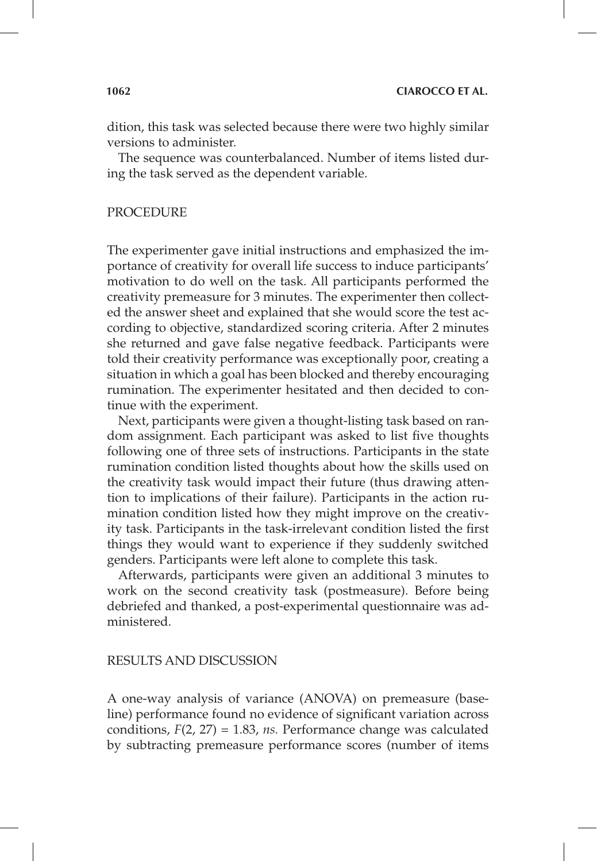dition, this task was selected because there were two highly similar versions to administer.

The sequence was counterbalanced. Number of items listed during the task served as the dependent variable.

## PROCEDURE

The experimenter gave initial instructions and emphasized the importance of creativity for overall life success to induce participants' motivation to do well on the task. All participants performed the creativity premeasure for 3 minutes. The experimenter then collected the answer sheet and explained that she would score the test according to objective, standardized scoring criteria. After 2 minutes she returned and gave false negative feedback. Participants were told their creativity performance was exceptionally poor, creating a situation in which a goal has been blocked and thereby encouraging rumination. The experimenter hesitated and then decided to continue with the experiment.

Next, participants were given a thought-listing task based on random assignment. Each participant was asked to list five thoughts following one of three sets of instructions. Participants in the state rumination condition listed thoughts about how the skills used on the creativity task would impact their future (thus drawing attention to implications of their failure). Participants in the action rumination condition listed how they might improve on the creativity task. Participants in the task-irrelevant condition listed the first things they would want to experience if they suddenly switched genders. Participants were left alone to complete this task.

Afterwards, participants were given an additional 3 minutes to work on the second creativity task (postmeasure). Before being debriefed and thanked, a post-experimental questionnaire was administered.

## RESULTS AND DISCUSSION

A one-way analysis of variance (ANOVA) on premeasure (baseline) performance found no evidence of significant variation across conditions, *F*(2, 27) = 1.83, *ns.* Performance change was calculated by subtracting premeasure performance scores (number of items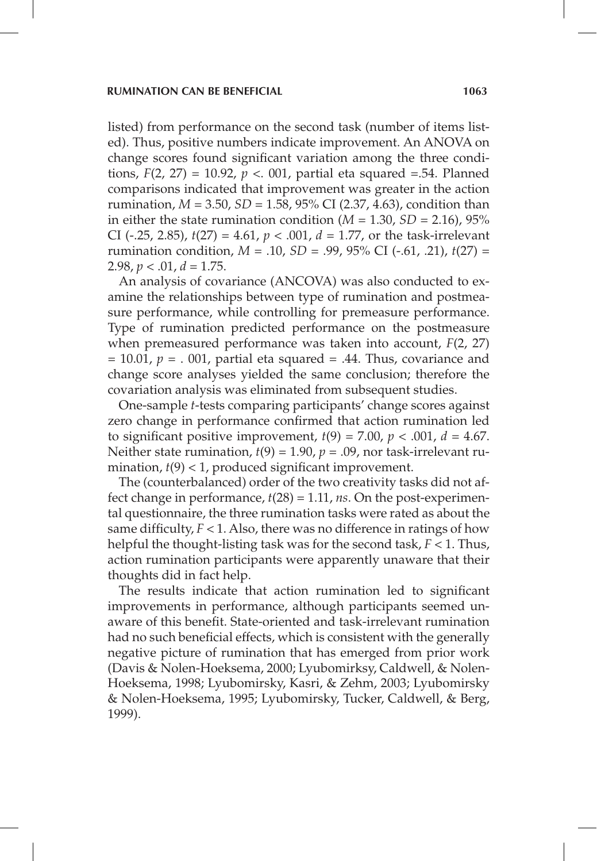listed) from performance on the second task (number of items listed). Thus, positive numbers indicate improvement. An ANOVA on change scores found significant variation among the three conditions, *F*(2, 27) = 10.92, *p* <. 001, partial eta squared =.54. Planned comparisons indicated that improvement was greater in the action rumination, *M* = 3.50, *SD* = 1.58, 95% CI (2.37, 4.63), condition than in either the state rumination condition  $(M = 1.30, SD = 2.16)$ , 95% CI (-.25, 2.85),  $t(27) = 4.61$ ,  $p < .001$ ,  $d = 1.77$ , or the task-irrelevant rumination condition, *M* = .10, *SD =* .99, 95% CI (-.61, .21), *t*(27) = 2.98,  $p < .01$ ,  $d = 1.75$ .

An analysis of covariance (ANCOVA) was also conducted to examine the relationships between type of rumination and postmeasure performance, while controlling for premeasure performance. Type of rumination predicted performance on the postmeasure when premeasured performance was taken into account, *F*(2, 27)  $= 10.01$ ,  $p = .001$ , partial eta squared  $= .44$ . Thus, covariance and change score analyses yielded the same conclusion; therefore the covariation analysis was eliminated from subsequent studies.

One-sample *t*-tests comparing participants' change scores against zero change in performance confirmed that action rumination led to significant positive improvement,  $t(9) = 7.00$ ,  $p < .001$ ,  $d = 4.67$ . Neither state rumination,  $t(9) = 1.90$ ,  $p = .09$ , nor task-irrelevant rumination, *t*(9) < 1, produced significant improvement.

The (counterbalanced) order of the two creativity tasks did not affect change in performance, *t*(28) = 1.11, *ns*. On the post-experimental questionnaire, the three rumination tasks were rated as about the same difficulty, *F* < 1. Also, there was no difference in ratings of how helpful the thought-listing task was for the second task, *F* < 1. Thus, action rumination participants were apparently unaware that their thoughts did in fact help.

The results indicate that action rumination led to significant improvements in performance, although participants seemed unaware of this benefit. State-oriented and task-irrelevant rumination had no such beneficial effects, which is consistent with the generally negative picture of rumination that has emerged from prior work (Davis & Nolen-Hoeksema, 2000; Lyubomirksy, Caldwell, & Nolen-Hoeksema, 1998; Lyubomirsky, Kasri, & Zehm, 2003; Lyubomirsky & Nolen-Hoeksema, 1995; Lyubomirsky, Tucker, Caldwell, & Berg, 1999).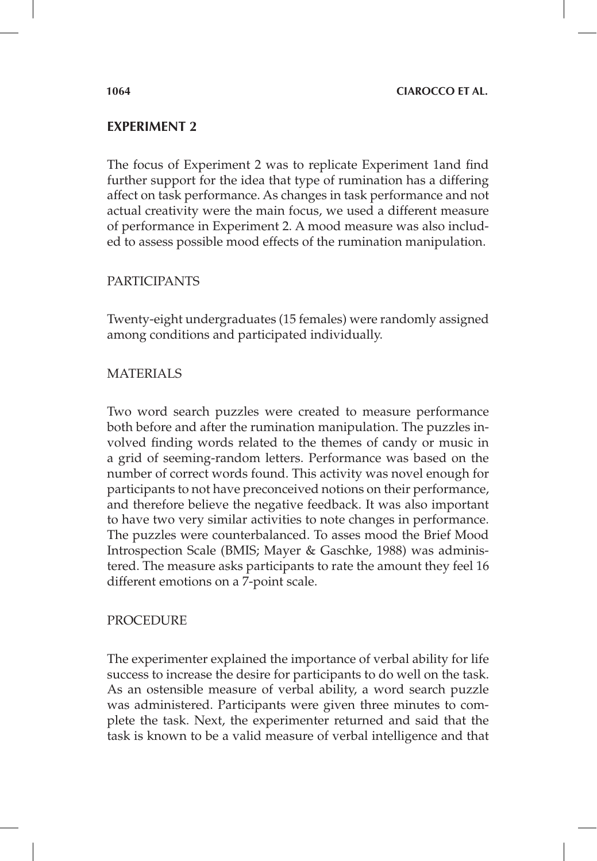## **EXPERIMENT 2**

The focus of Experiment 2 was to replicate Experiment 1and find further support for the idea that type of rumination has a differing affect on task performance. As changes in task performance and not actual creativity were the main focus, we used a different measure of performance in Experiment 2. A mood measure was also included to assess possible mood effects of the rumination manipulation.

## PARTICIPANTS

Twenty-eight undergraduates (15 females) were randomly assigned among conditions and participated individually.

## MATERIALS

Two word search puzzles were created to measure performance both before and after the rumination manipulation. The puzzles involved finding words related to the themes of candy or music in a grid of seeming-random letters. Performance was based on the number of correct words found. This activity was novel enough for participants to not have preconceived notions on their performance, and therefore believe the negative feedback. It was also important to have two very similar activities to note changes in performance. The puzzles were counterbalanced. To asses mood the Brief Mood Introspection Scale (BMIS; Mayer & Gaschke, 1988) was administered. The measure asks participants to rate the amount they feel 16 different emotions on a 7-point scale.

## PROCEDURE

The experimenter explained the importance of verbal ability for life success to increase the desire for participants to do well on the task. As an ostensible measure of verbal ability, a word search puzzle was administered. Participants were given three minutes to complete the task. Next, the experimenter returned and said that the task is known to be a valid measure of verbal intelligence and that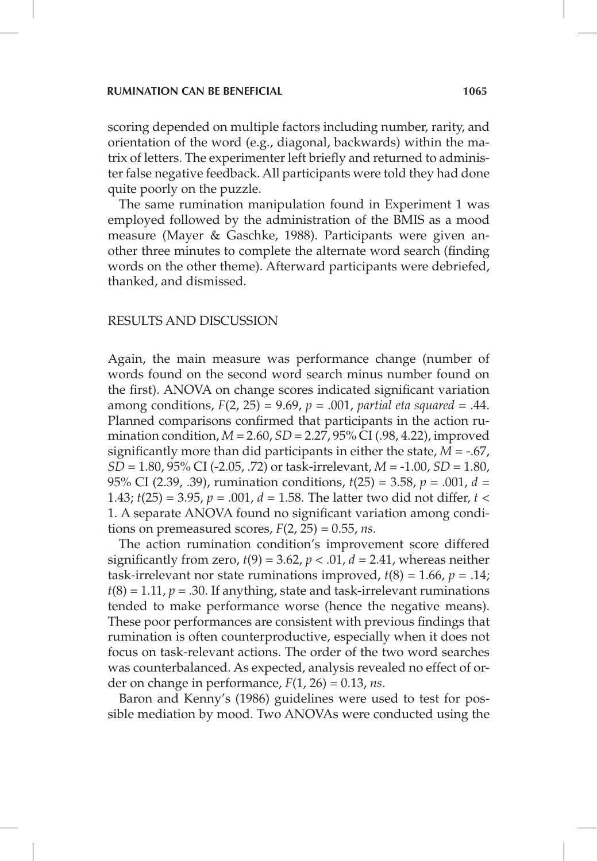scoring depended on multiple factors including number, rarity, and orientation of the word (e.g., diagonal, backwards) within the matrix of letters. The experimenter left briefly and returned to administer false negative feedback. All participants were told they had done quite poorly on the puzzle.

The same rumination manipulation found in Experiment 1 was employed followed by the administration of the BMIS as a mood measure (Mayer & Gaschke, 1988). Participants were given another three minutes to complete the alternate word search (finding words on the other theme). Afterward participants were debriefed, thanked, and dismissed.

## RESULTS AND DISCUSSION

Again, the main measure was performance change (number of words found on the second word search minus number found on the first). ANOVA on change scores indicated significant variation among conditions, *F*(2, 25) = 9.69, *p* = .001, *partial eta squared* = .44. Planned comparisons confirmed that participants in the action rumination condition, *M* = 2.60, *SD* = 2.27, 95% CI (.98, 4.22), improved significantly more than did participants in either the state, *M* = -.67, *SD* = 1.80, 95% CI (-2.05, .72) or task-irrelevant, *M =* -1.00, *SD* = 1.80, 95% CI (2.39, .39), rumination conditions, *t*(25) = 3.58, *p* = .001, *d =*  1.43; *t*(25) = 3.95, *p* = .001, *d* = 1.58. The latter two did not differ, *t* < 1. A separate ANOVA found no significant variation among conditions on premeasured scores,  $F(2, 25) = 0.55$ , *ns.* 

The action rumination condition's improvement score differed significantly from zero,  $t(9) = 3.62$ ,  $p < .01$ ,  $d = 2.41$ , whereas neither task-irrelevant nor state ruminations improved,  $t(8) = 1.66$ ,  $p = .14$ ; *t*(8) = 1.11, *p* = .30. If anything, state and task-irrelevant ruminations tended to make performance worse (hence the negative means). These poor performances are consistent with previous findings that rumination is often counterproductive, especially when it does not focus on task-relevant actions. The order of the two word searches was counterbalanced. As expected, analysis revealed no effect of order on change in performance, *F*(1, 26) = 0.13, *ns*.

Baron and Kenny's (1986) guidelines were used to test for possible mediation by mood. Two ANOVAs were conducted using the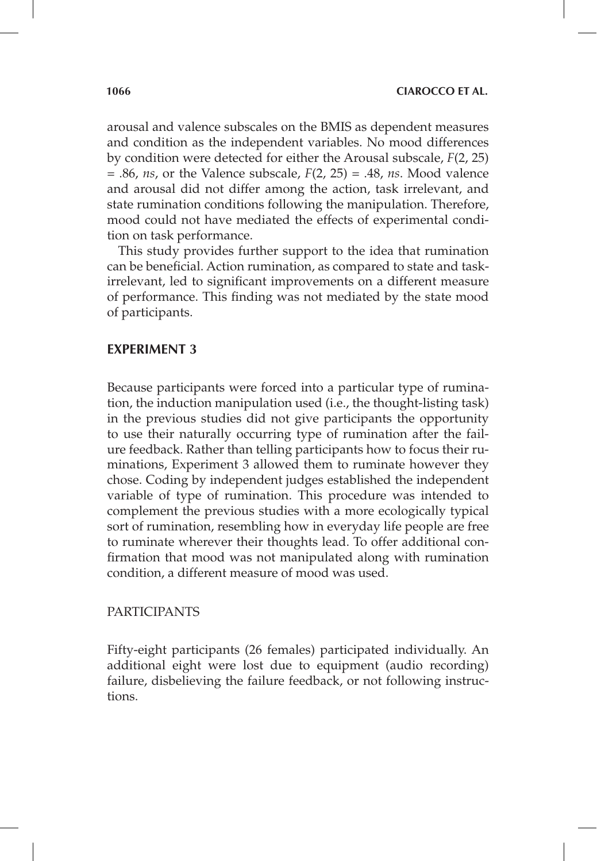arousal and valence subscales on the BMIS as dependent measures and condition as the independent variables. No mood differences by condition were detected for either the Arousal subscale, *F*(2, 25) = .86, *ns*, or the Valence subscale, *F*(2, 25) = .48, *ns*. Mood valence and arousal did not differ among the action, task irrelevant, and state rumination conditions following the manipulation. Therefore, mood could not have mediated the effects of experimental condition on task performance.

This study provides further support to the idea that rumination can be beneficial. Action rumination, as compared to state and taskirrelevant, led to significant improvements on a different measure of performance. This finding was not mediated by the state mood of participants.

## **EXPERIMENT 3**

Because participants were forced into a particular type of rumination, the induction manipulation used (i.e., the thought-listing task) in the previous studies did not give participants the opportunity to use their naturally occurring type of rumination after the failure feedback. Rather than telling participants how to focus their ruminations, Experiment 3 allowed them to ruminate however they chose. Coding by independent judges established the independent variable of type of rumination. This procedure was intended to complement the previous studies with a more ecologically typical sort of rumination, resembling how in everyday life people are free to ruminate wherever their thoughts lead. To offer additional confirmation that mood was not manipulated along with rumination condition, a different measure of mood was used.

## PARTICIPANTS

Fifty-eight participants (26 females) participated individually. An additional eight were lost due to equipment (audio recording) failure, disbelieving the failure feedback, or not following instructions.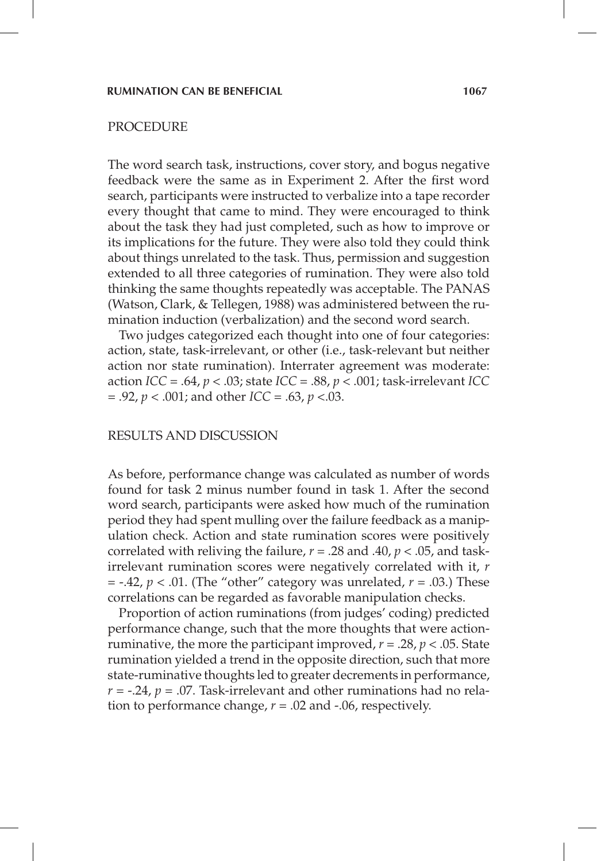### PROCEDURE

The word search task, instructions, cover story, and bogus negative feedback were the same as in Experiment 2. After the first word search, participants were instructed to verbalize into a tape recorder every thought that came to mind. They were encouraged to think about the task they had just completed, such as how to improve or its implications for the future. They were also told they could think about things unrelated to the task. Thus, permission and suggestion extended to all three categories of rumination. They were also told thinking the same thoughts repeatedly was acceptable. The PANAS (Watson, Clark, & Tellegen, 1988) was administered between the rumination induction (verbalization) and the second word search.

Two judges categorized each thought into one of four categories: action, state, task-irrelevant, or other (i.e., task-relevant but neither action nor state rumination). Interrater agreement was moderate: action *ICC* = .64, *p* < .03; state *ICC* = .88, *p* < .001; task-irrelevant *ICC*  = .92, *p* < .001; and other *ICC* = .63, *p* <.03.

### RESULTS AND DISCUSSION

As before, performance change was calculated as number of words found for task 2 minus number found in task 1. After the second word search, participants were asked how much of the rumination period they had spent mulling over the failure feedback as a manipulation check. Action and state rumination scores were positively correlated with reliving the failure, *r* = .28 and .40, *p* < .05, and taskirrelevant rumination scores were negatively correlated with it, *r*  $= -.42$ ,  $p < .01$ . (The "other" category was unrelated,  $r = .03$ .) These correlations can be regarded as favorable manipulation checks.

Proportion of action ruminations (from judges' coding) predicted performance change, such that the more thoughts that were actionruminative, the more the participant improved,  $r = .28$ ,  $p < .05$ . State rumination yielded a trend in the opposite direction, such that more state-ruminative thoughts led to greater decrements in performance,  $r = -0.24$ ,  $p = 0.07$ . Task-irrelevant and other ruminations had no relation to performance change, *r* = .02 and -.06, respectively.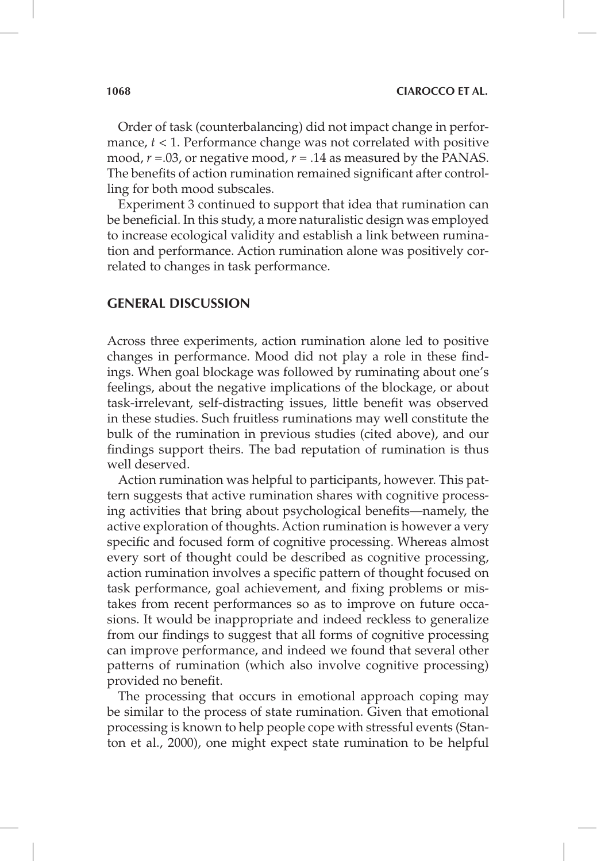Order of task (counterbalancing) did not impact change in performance, *t* < 1. Performance change was not correlated with positive mood, *r* =.03, or negative mood, *r* = .14 as measured by the PANAS. The benefits of action rumination remained significant after controlling for both mood subscales.

Experiment 3 continued to support that idea that rumination can be beneficial. In this study, a more naturalistic design was employed to increase ecological validity and establish a link between rumination and performance. Action rumination alone was positively correlated to changes in task performance.

## **GENERAL DISCUSSION**

Across three experiments, action rumination alone led to positive changes in performance. Mood did not play a role in these findings. When goal blockage was followed by ruminating about one's feelings, about the negative implications of the blockage, or about task-irrelevant, self-distracting issues, little benefit was observed in these studies. Such fruitless ruminations may well constitute the bulk of the rumination in previous studies (cited above), and our findings support theirs. The bad reputation of rumination is thus well deserved.

Action rumination was helpful to participants, however. This pattern suggests that active rumination shares with cognitive processing activities that bring about psychological benefits—namely, the active exploration of thoughts. Action rumination is however a very specific and focused form of cognitive processing. Whereas almost every sort of thought could be described as cognitive processing, action rumination involves a specific pattern of thought focused on task performance, goal achievement, and fixing problems or mistakes from recent performances so as to improve on future occasions. It would be inappropriate and indeed reckless to generalize from our findings to suggest that all forms of cognitive processing can improve performance, and indeed we found that several other patterns of rumination (which also involve cognitive processing) provided no benefit.

The processing that occurs in emotional approach coping may be similar to the process of state rumination. Given that emotional processing is known to help people cope with stressful events (Stanton et al., 2000), one might expect state rumination to be helpful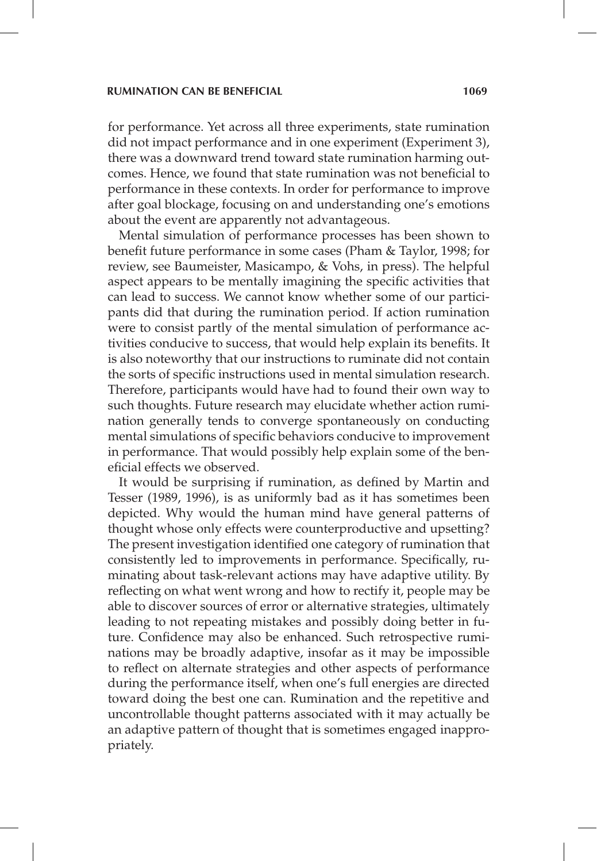for performance. Yet across all three experiments, state rumination did not impact performance and in one experiment (Experiment 3), there was a downward trend toward state rumination harming outcomes. Hence, we found that state rumination was not beneficial to performance in these contexts. In order for performance to improve after goal blockage, focusing on and understanding one's emotions about the event are apparently not advantageous.

Mental simulation of performance processes has been shown to benefit future performance in some cases (Pham & Taylor, 1998; for review, see Baumeister, Masicampo, & Vohs, in press). The helpful aspect appears to be mentally imagining the specific activities that can lead to success. We cannot know whether some of our participants did that during the rumination period. If action rumination were to consist partly of the mental simulation of performance activities conducive to success, that would help explain its benefits. It is also noteworthy that our instructions to ruminate did not contain the sorts of specific instructions used in mental simulation research. Therefore, participants would have had to found their own way to such thoughts. Future research may elucidate whether action rumination generally tends to converge spontaneously on conducting mental simulations of specific behaviors conducive to improvement in performance. That would possibly help explain some of the beneficial effects we observed.

It would be surprising if rumination, as defined by Martin and Tesser (1989, 1996), is as uniformly bad as it has sometimes been depicted. Why would the human mind have general patterns of thought whose only effects were counterproductive and upsetting? The present investigation identified one category of rumination that consistently led to improvements in performance. Specifically, ruminating about task-relevant actions may have adaptive utility. By reflecting on what went wrong and how to rectify it, people may be able to discover sources of error or alternative strategies, ultimately leading to not repeating mistakes and possibly doing better in future. Confidence may also be enhanced. Such retrospective ruminations may be broadly adaptive, insofar as it may be impossible to reflect on alternate strategies and other aspects of performance during the performance itself, when one's full energies are directed toward doing the best one can. Rumination and the repetitive and uncontrollable thought patterns associated with it may actually be an adaptive pattern of thought that is sometimes engaged inappropriately.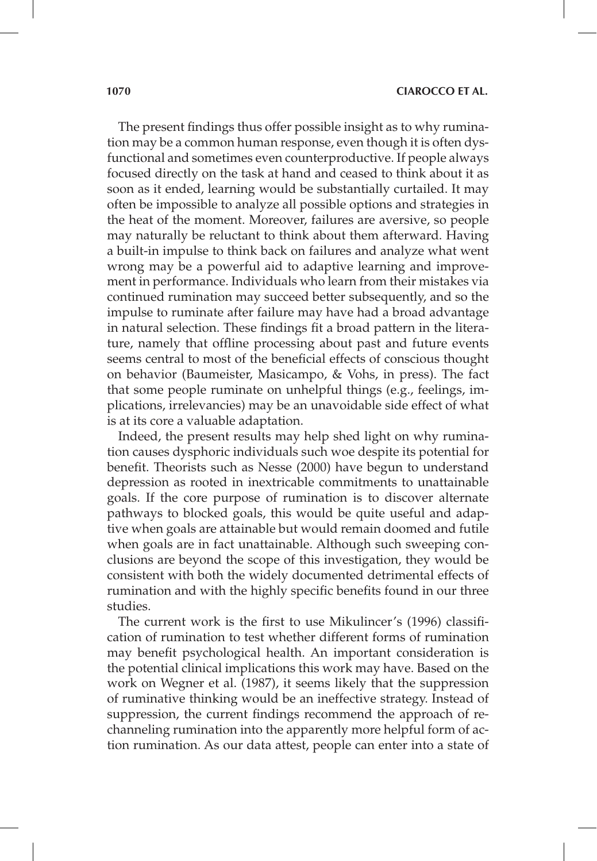The present findings thus offer possible insight as to why rumination may be a common human response, even though it is often dysfunctional and sometimes even counterproductive. If people always focused directly on the task at hand and ceased to think about it as soon as it ended, learning would be substantially curtailed. It may often be impossible to analyze all possible options and strategies in the heat of the moment. Moreover, failures are aversive, so people may naturally be reluctant to think about them afterward. Having a built-in impulse to think back on failures and analyze what went wrong may be a powerful aid to adaptive learning and improvement in performance. Individuals who learn from their mistakes via continued rumination may succeed better subsequently, and so the impulse to ruminate after failure may have had a broad advantage in natural selection. These findings fit a broad pattern in the literature, namely that offline processing about past and future events seems central to most of the beneficial effects of conscious thought on behavior (Baumeister, Masicampo, & Vohs, in press). The fact that some people ruminate on unhelpful things (e.g., feelings, implications, irrelevancies) may be an unavoidable side effect of what is at its core a valuable adaptation.

Indeed, the present results may help shed light on why rumination causes dysphoric individuals such woe despite its potential for benefit. Theorists such as Nesse (2000) have begun to understand depression as rooted in inextricable commitments to unattainable goals. If the core purpose of rumination is to discover alternate pathways to blocked goals, this would be quite useful and adaptive when goals are attainable but would remain doomed and futile when goals are in fact unattainable. Although such sweeping conclusions are beyond the scope of this investigation, they would be consistent with both the widely documented detrimental effects of rumination and with the highly specific benefits found in our three studies.

The current work is the first to use Mikulincer's (1996) classification of rumination to test whether different forms of rumination may benefit psychological health. An important consideration is the potential clinical implications this work may have. Based on the work on Wegner et al. (1987), it seems likely that the suppression of ruminative thinking would be an ineffective strategy. Instead of suppression, the current findings recommend the approach of rechanneling rumination into the apparently more helpful form of action rumination. As our data attest, people can enter into a state of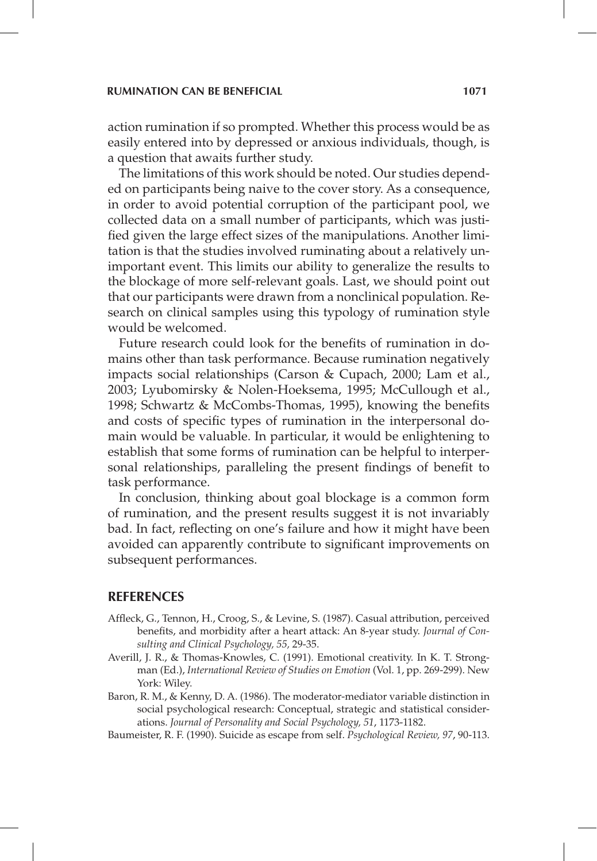action rumination if so prompted. Whether this process would be as easily entered into by depressed or anxious individuals, though, is a question that awaits further study.

The limitations of this work should be noted. Our studies depended on participants being naive to the cover story. As a consequence, in order to avoid potential corruption of the participant pool, we collected data on a small number of participants, which was justified given the large effect sizes of the manipulations. Another limitation is that the studies involved ruminating about a relatively unimportant event. This limits our ability to generalize the results to the blockage of more self-relevant goals. Last, we should point out that our participants were drawn from a nonclinical population. Research on clinical samples using this typology of rumination style would be welcomed.

Future research could look for the benefits of rumination in domains other than task performance. Because rumination negatively impacts social relationships (Carson & Cupach, 2000; Lam et al., 2003; Lyubomirsky & Nolen-Hoeksema, 1995; McCullough et al., 1998; Schwartz & McCombs-Thomas, 1995), knowing the benefits and costs of specific types of rumination in the interpersonal domain would be valuable. In particular, it would be enlightening to establish that some forms of rumination can be helpful to interpersonal relationships, paralleling the present findings of benefit to task performance.

In conclusion, thinking about goal blockage is a common form of rumination, and the present results suggest it is not invariably bad. In fact, reflecting on one's failure and how it might have been avoided can apparently contribute to significant improvements on subsequent performances.

### **REFERENCES**

- Affleck, G., Tennon, H., Croog, S., & Levine, S. (1987). Casual attribution, perceived benefits, and morbidity after a heart attack: An 8-year study. *Journal of Consulting and Clinical Psychology, 55,* 29-35.
- Averill, J. R., & Thomas-Knowles, C. (1991). Emotional creativity. In K. T. Strongman (Ed.), *International Review of Studies on Emotion* (Vol. 1, pp. 269-299). New York: Wiley.
- Baron, R. M., & Kenny, D. A. (1986). The moderator-mediator variable distinction in social psychological research: Conceptual, strategic and statistical considerations. *Journal of Personality and Social Psychology, 51*, 1173-1182.
- Baumeister, R. F. (1990). Suicide as escape from self. *Psychological Review, 97*, 90-113.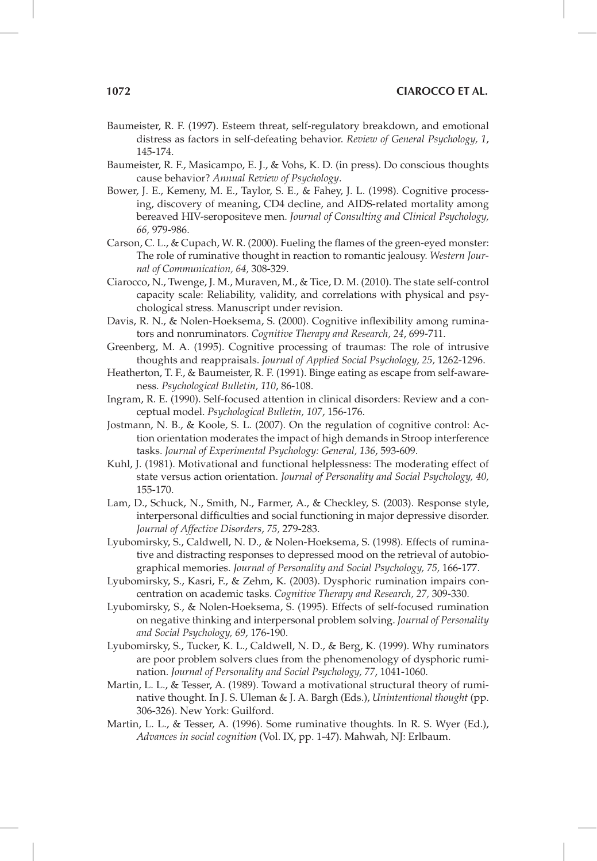### **1072 CIAROCCO ET AL.**

- Baumeister, R. F. (1997). Esteem threat, self-regulatory breakdown, and emotional distress as factors in self-defeating behavior. *Review of General Psychology, 1*, 145-174.
- Baumeister, R. F., Masicampo, E. J., & Vohs, K. D. (in press). Do conscious thoughts cause behavior? *Annual Review of Psychology*.
- Bower, J. E., Kemeny, M. E., Taylor, S. E., & Fahey, J. L. (1998). Cognitive processing, discovery of meaning, CD4 decline, and AIDS-related mortality among bereaved HIV-seropositeve men. *Journal of Consulting and Clinical Psychology, 66,* 979-986.
- Carson, C. L., & Cupach, W. R. (2000). Fueling the flames of the green-eyed monster: The role of ruminative thought in reaction to romantic jealousy. *Western Journal of Communication, 64,* 308-329.
- Ciarocco, N., Twenge, J. M., Muraven, M., & Tice, D. M. (2010). The state self-control capacity scale: Reliability, validity, and correlations with physical and psychological stress. Manuscript under revision.
- Davis, R. N., & Nolen-Hoeksema, S. (2000). Cognitive inflexibility among ruminators and nonruminators. *Cognitive Therapy and Research, 24*, 699-711.
- Greenberg, M. A. (1995). Cognitive processing of traumas: The role of intrusive thoughts and reappraisals. *Journal of Applied Social Psychology, 25,* 1262-1296.
- Heatherton, T. F., & Baumeister, R. F. (1991). Binge eating as escape from self-awareness. *Psychological Bulletin, 110*, 86-108.
- Ingram, R. E. (1990). Self-focused attention in clinical disorders: Review and a conceptual model. *Psychological Bulletin, 107*, 156-176.
- Jostmann, N. B., & Koole, S. L. (2007). On the regulation of cognitive control: Action orientation moderates the impact of high demands in Stroop interference tasks. *Journal of Experimental Psychology: General, 136*, 593-609.
- Kuhl, J. (1981). Motivational and functional helplessness: The moderating effect of state versus action orientation. *Journal of Personality and Social Psychology, 40,* 155-170.
- Lam, D., Schuck, N., Smith, N., Farmer, A., & Checkley, S. (2003). Response style, interpersonal difficulties and social functioning in major depressive disorder. *Journal of Affective Disorders*, *75,* 279-283.
- Lyubomirsky, S., Caldwell, N. D., & Nolen-Hoeksema, S. (1998). Effects of ruminative and distracting responses to depressed mood on the retrieval of autobiographical memories. *Journal of Personality and Social Psychology, 75,* 166-177.
- Lyubomirsky, S., Kasri, F., & Zehm, K. (2003). Dysphoric rumination impairs concentration on academic tasks. *Cognitive Therapy and Research, 27,* 309-330.
- Lyubomirsky, S., & Nolen-Hoeksema, S. (1995). Effects of self-focused rumination on negative thinking and interpersonal problem solving. *Journal of Personality and Social Psychology, 69*, 176-190.
- Lyubomirsky, S., Tucker, K. L., Caldwell, N. D., & Berg, K. (1999). Why ruminators are poor problem solvers clues from the phenomenology of dysphoric rumination. *Journal of Personality and Social Psychology, 77*, 1041-1060.
- Martin, L. L., & Tesser, A. (1989). Toward a motivational structural theory of ruminative thought. In J. S. Uleman & J. A. Bargh (Eds.), *Unintentional thought* (pp. 306-326). New York: Guilford.
- Martin, L. L., & Tesser, A. (1996). Some ruminative thoughts. In R. S. Wyer (Ed.), *Advances in social cognition* (Vol. IX, pp. 1-47). Mahwah, NJ: Erlbaum.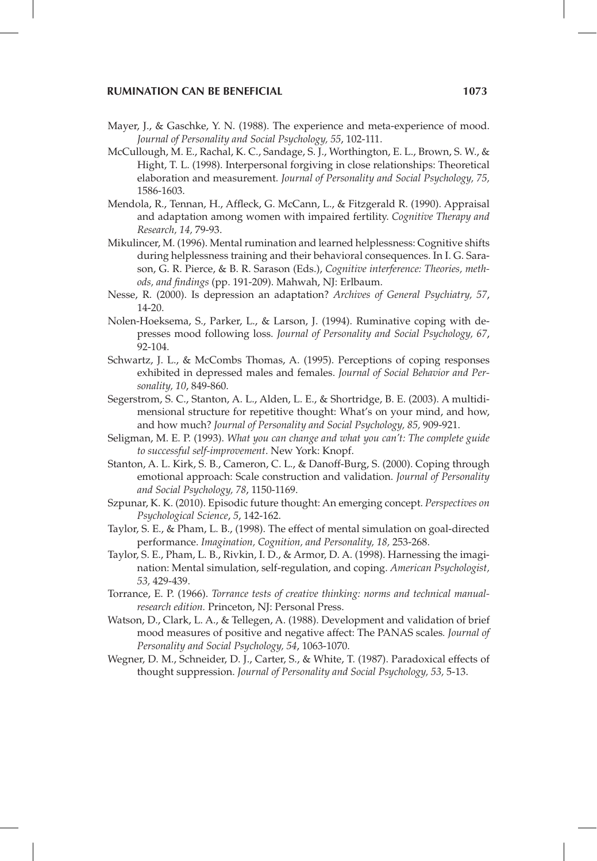- Mayer, J., & Gaschke, Y. N. (1988). The experience and meta-experience of mood. *Journal of Personality and Social Psychology, 55*, 102-111.
- McCullough, M. E., Rachal, K. C., Sandage, S. J., Worthington, E. L., Brown, S. W., & Hight, T. L. (1998). Interpersonal forgiving in close relationships: Theoretical elaboration and measurement. *Journal of Personality and Social Psychology, 75,*  1586-1603.
- Mendola, R., Tennan, H., Affleck, G. McCann, L., & Fitzgerald R. (1990). Appraisal and adaptation among women with impaired fertility. *Cognitive Therapy and Research, 14,* 79-93.
- Mikulincer, M. (1996). Mental rumination and learned helplessness: Cognitive shifts during helplessness training and their behavioral consequences. In I. G. Sarason, G. R. Pierce, & B. R. Sarason (Eds.), *Cognitive interference: Theories, methods, and findings* (pp. 191-209). Mahwah, NJ: Erlbaum.
- Nesse, R. (2000). Is depression an adaptation? *Archives of General Psychiatry, 57*, 14-20.
- Nolen-Hoeksema, S., Parker, L., & Larson, J. (1994). Ruminative coping with depresses mood following loss. *Journal of Personality and Social Psychology, 67*, 92-104.
- Schwartz, J. L., & McCombs Thomas, A. (1995). Perceptions of coping responses exhibited in depressed males and females. *Journal of Social Behavior and Personality, 10*, 849-860.
- Segerstrom, S. C., Stanton, A. L., Alden, L. E., & Shortridge, B. E. (2003). A multidimensional structure for repetitive thought: What's on your mind, and how, and how much? *Journal of Personality and Social Psychology, 85,* 909-921.
- Seligman, M. E. P. (1993). *What you can change and what you can't: The complete guide to successful self-improvement*. New York: Knopf.
- Stanton, A. L. Kirk, S. B., Cameron, C. L., & Danoff-Burg, S. (2000). Coping through emotional approach: Scale construction and validation. *Journal of Personality and Social Psychology, 78*, 1150-1169.
- Szpunar, K. K. (2010). Episodic future thought: An emerging concept. *Perspectives on Psychological Science*, *5*, 142-162.
- Taylor, S. E., & Pham, L. B., (1998). The effect of mental simulation on goal-directed performance. *Imagination, Cognition, and Personality, 18,* 253-268.
- Taylor, S. E., Pham, L. B., Rivkin, I. D., & Armor, D. A. (1998). Harnessing the imagination: Mental simulation, self-regulation, and coping. *American Psychologist, 53,* 429-439.
- Torrance, E. P. (1966). *Torrance tests of creative thinking: norms and technical manualresearch edition.* Princeton, NJ: Personal Press.
- Watson, D., Clark, L. A., & Tellegen, A. (1988). Development and validation of brief mood measures of positive and negative affect: The PANAS scales*. Journal of Personality and Social Psychology, 54*, 1063-1070.
- Wegner, D. M., Schneider, D. J., Carter, S., & White, T. (1987). Paradoxical effects of thought suppression. *Journal of Personality and Social Psychology, 53,* 5-13.